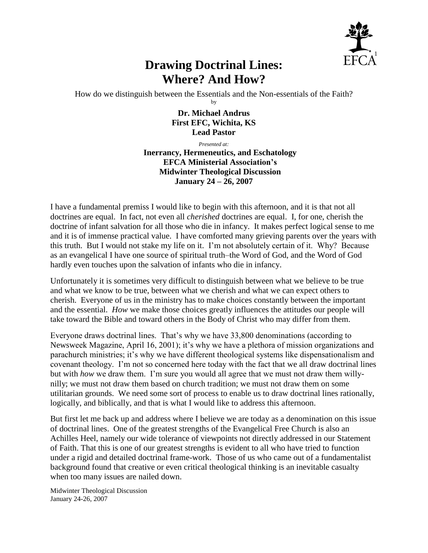

## **Drawing Doctrinal Lines: Where? And How?**

How do we distinguish between the Essentials and the Non-essentials of the Faith? by

> **Dr. Michael Andrus First EFC, Wichita, KS Lead Pastor**

> > *Presented at:*

**Inerrancy, Hermeneutics, and Eschatology EFCA Ministerial Association's Midwinter Theological Discussion January 24 – 26, 2007**

I have a fundamental premiss I would like to begin with this afternoon, and it is that not all doctrines are equal. In fact, not even all *cherished* doctrines are equal. I, for one, cherish the doctrine of infant salvation for all those who die in infancy. It makes perfect logical sense to me and it is of immense practical value. I have comforted many grieving parents over the years with this truth. But I would not stake my life on it. I'm not absolutely certain of it. Why? Because as an evangelical I have one source of spiritual truth–the Word of God, and the Word of God hardly even touches upon the salvation of infants who die in infancy.

Unfortunately it is sometimes very difficult to distinguish between what we believe to be true and what we know to be true, between what we cherish and what we can expect others to cherish. Everyone of us in the ministry has to make choices constantly between the important and the essential. *How* we make those choices greatly influences the attitudes our people will take toward the Bible and toward others in the Body of Christ who may differ from them.

Everyone draws doctrinal lines. That's why we have 33,800 denominations (according to Newsweek Magazine, April 16, 2001); it's why we have a plethora of mission organizations and parachurch ministries; it's why we have different theological systems like dispensationalism and covenant theology. I'm not so concerned here today with the fact that we all draw doctrinal lines but with *how* we draw them. I'm sure you would all agree that we must not draw them willynilly; we must not draw them based on church tradition; we must not draw them on some utilitarian grounds. We need some sort of process to enable us to draw doctrinal lines rationally, logically, and biblically, and that is what I would like to address this afternoon.

But first let me back up and address where I believe we are today as a denomination on this issue of doctrinal lines. One of the greatest strengths of the Evangelical Free Church is also an Achilles Heel, namely our wide tolerance of viewpoints not directly addressed in our Statement of Faith. That this is one of our greatest strengths is evident to all who have tried to function under a rigid and detailed doctrinal frame-work. Those of us who came out of a fundamentalist background found that creative or even critical theological thinking is an inevitable casualty when too many issues are nailed down.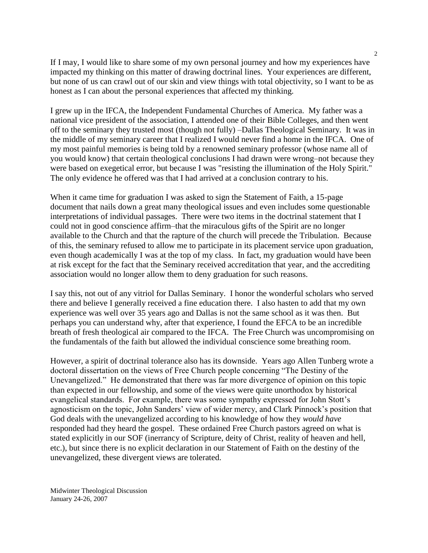If I may, I would like to share some of my own personal journey and how my experiences have impacted my thinking on this matter of drawing doctrinal lines. Your experiences are different, but none of us can crawl out of our skin and view things with total objectivity, so I want to be as honest as I can about the personal experiences that affected my thinking.

I grew up in the IFCA, the Independent Fundamental Churches of America. My father was a national vice president of the association, I attended one of their Bible Colleges, and then went off to the seminary they trusted most (though not fully) –Dallas Theological Seminary. It was in the middle of my seminary career that I realized I would never find a home in the IFCA. One of my most painful memories is being told by a renowned seminary professor (whose name all of you would know) that certain theological conclusions I had drawn were wrong–not because they were based on exegetical error, but because I was "resisting the illumination of the Holy Spirit." The only evidence he offered was that I had arrived at a conclusion contrary to his.

When it came time for graduation I was asked to sign the Statement of Faith, a 15-page document that nails down a great many theological issues and even includes some questionable interpretations of individual passages. There were two items in the doctrinal statement that I could not in good conscience affirm–that the miraculous gifts of the Spirit are no longer available to the Church and that the rapture of the church will precede the Tribulation. Because of this, the seminary refused to allow me to participate in its placement service upon graduation, even though academically I was at the top of my class. In fact, my graduation would have been at risk except for the fact that the Seminary received accreditation that year, and the accrediting association would no longer allow them to deny graduation for such reasons.

I say this, not out of any vitriol for Dallas Seminary. I honor the wonderful scholars who served there and believe I generally received a fine education there. I also hasten to add that my own experience was well over 35 years ago and Dallas is not the same school as it was then. But perhaps you can understand why, after that experience, I found the EFCA to be an incredible breath of fresh theological air compared to the IFCA. The Free Church was uncompromising on the fundamentals of the faith but allowed the individual conscience some breathing room.

However, a spirit of doctrinal tolerance also has its downside. Years ago Allen Tunberg wrote a doctoral dissertation on the views of Free Church people concerning "The Destiny of the Unevangelized." He demonstrated that there was far more divergence of opinion on this topic than expected in our fellowship, and some of the views were quite unorthodox by historical evangelical standards. For example, there was some sympathy expressed for John Stott's agnosticism on the topic, John Sanders' view of wider mercy, and Clark Pinnock's position that God deals with the unevangelized according to his knowledge of how they *would have*  responded had they heard the gospel. These ordained Free Church pastors agreed on what is stated explicitly in our SOF (inerrancy of Scripture, deity of Christ, reality of heaven and hell, etc.), but since there is no explicit declaration in our Statement of Faith on the destiny of the unevangelized, these divergent views are tolerated.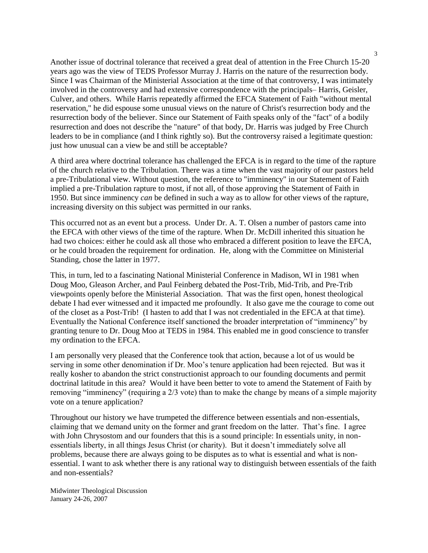Another issue of doctrinal tolerance that received a great deal of attention in the Free Church 15-20 years ago was the view of TEDS Professor Murray J. Harris on the nature of the resurrection body. Since I was Chairman of the Ministerial Association at the time of that controversy, I was intimately involved in the controversy and had extensive correspondence with the principals– Harris, Geisler, Culver, and others. While Harris repeatedly affirmed the EFCA Statement of Faith "without mental reservation," he did espouse some unusual views on the nature of Christ's resurrection body and the resurrection body of the believer. Since our Statement of Faith speaks only of the "fact" of a bodily resurrection and does not describe the "nature" of that body, Dr. Harris was judged by Free Church leaders to be in compliance (and I think rightly so). But the controversy raised a legitimate question: just how unusual can a view be and still be acceptable?

A third area where doctrinal tolerance has challenged the EFCA is in regard to the time of the rapture of the church relative to the Tribulation. There was a time when the vast majority of our pastors held a pre-Tribulational view. Without question, the reference to "imminency" in our Statement of Faith implied a pre-Tribulation rapture to most, if not all, of those approving the Statement of Faith in 1950. But since imminency *can* be defined in such a way as to allow for other views of the rapture, increasing diversity on this subject was permitted in our ranks.

This occurred not as an event but a process. Under Dr. A. T. Olsen a number of pastors came into the EFCA with other views of the time of the rapture. When Dr. McDill inherited this situation he had two choices: either he could ask all those who embraced a different position to leave the EFCA, or he could broaden the requirement for ordination. He, along with the Committee on Ministerial Standing, chose the latter in 1977.

This, in turn, led to a fascinating National Ministerial Conference in Madison, WI in 1981 when Doug Moo, Gleason Archer, and Paul Feinberg debated the Post-Trib, Mid-Trib, and Pre-Trib viewpoints openly before the Ministerial Association. That was the first open, honest theological debate I had ever witnessed and it impacted me profoundly. It also gave me the courage to come out of the closet as a Post-Trib! (I hasten to add that I was not credentialed in the EFCA at that time). Eventually the National Conference itself sanctioned the broader interpretation of "imminency" by granting tenure to Dr. Doug Moo at TEDS in 1984. This enabled me in good conscience to transfer my ordination to the EFCA.

I am personally very pleased that the Conference took that action, because a lot of us would be serving in some other denomination if Dr. Moo's tenure application had been rejected. But was it really kosher to abandon the strict constructionist approach to our founding documents and permit doctrinal latitude in this area? Would it have been better to vote to amend the Statement of Faith by removing "imminency" (requiring a 2/3 vote) than to make the change by means of a simple majority vote on a tenure application?

Throughout our history we have trumpeted the difference between essentials and non-essentials, claiming that we demand unity on the former and grant freedom on the latter. That's fine. I agree with John Chrysostom and our founders that this is a sound principle: In essentials unity, in nonessentials liberty, in all things Jesus Christ (or charity). But it doesn't immediately solve all problems, because there are always going to be disputes as to what is essential and what is nonessential. I want to ask whether there is any rational way to distinguish between essentials of the faith and non-essentials?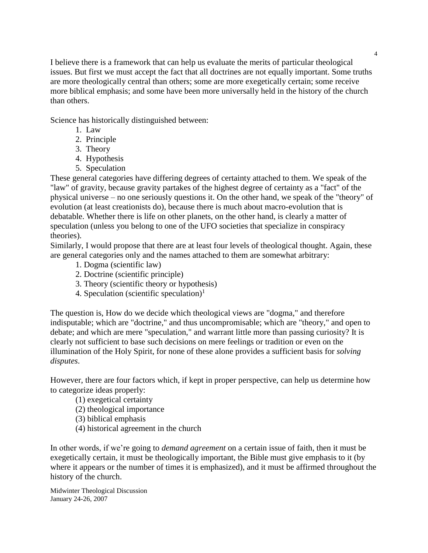I believe there is a framework that can help us evaluate the merits of particular theological issues. But first we must accept the fact that all doctrines are not equally important. Some truths are more theologically central than others; some are more exegetically certain; some receive more biblical emphasis; and some have been more universally held in the history of the church than others.

Science has historically distinguished between:

- 1. Law
- 2. Principle
- 3. Theory
- 4. Hypothesis
- 5. Speculation

These general categories have differing degrees of certainty attached to them. We speak of the "law" of gravity, because gravity partakes of the highest degree of certainty as a "fact" of the physical universe – no one seriously questions it. On the other hand, we speak of the "theory" of evolution (at least creationists do), because there is much about macro-evolution that is debatable. Whether there is life on other planets, on the other hand, is clearly a matter of speculation (unless you belong to one of the UFO societies that specialize in conspiracy theories).

Similarly, I would propose that there are at least four levels of theological thought. Again, these are general categories only and the names attached to them are somewhat arbitrary:

- 1. Dogma (scientific law)
- 2. Doctrine (scientific principle)
- 3. Theory (scientific theory or hypothesis)
- 4. Speculation (scientific speculation)<sup>1</sup>

The question is, How do we decide which theological views are "dogma," and therefore indisputable; which are "doctrine," and thus uncompromisable; which are "theory," and open to debate; and which are mere "speculation," and warrant little more than passing curiosity? It is clearly not sufficient to base such decisions on mere feelings or tradition or even on the illumination of the Holy Spirit, for none of these alone provides a sufficient basis for *solving disputes*.

However, there are four factors which, if kept in proper perspective, can help us determine how to categorize ideas properly:

- (1) exegetical certainty
- (2) theological importance
- (3) biblical emphasis
- (4) historical agreement in the church

In other words, if we're going to *demand agreement* on a certain issue of faith, then it must be exegetically certain, it must be theologically important, the Bible must give emphasis to it (by where it appears or the number of times it is emphasized), and it must be affirmed throughout the history of the church.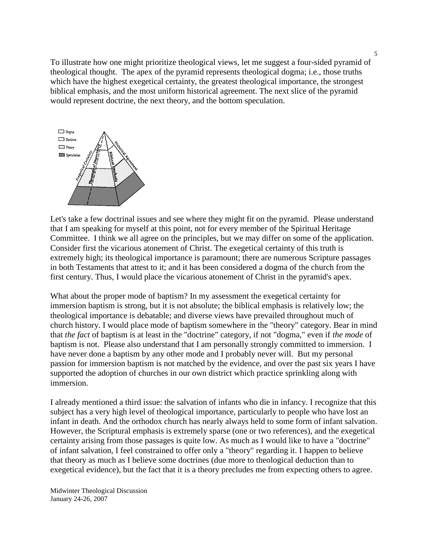To illustrate how one might prioritize theological views, let me suggest a four-sided pyramid of theological thought. The apex of the pyramid represents theological dogma; i.e., those truths which have the highest exegetical certainty, the greatest theological importance, the strongest biblical emphasis, and the most uniform historical agreement. The next slice of the pyramid would represent doctrine, the next theory, and the bottom speculation.



Let's take a few doctrinal issues and see where they might fit on the pyramid. Please understand that I am speaking for myself at this point, not for every member of the Spiritual Heritage Committee. I think we all agree on the principles, but we may differ on some of the application. Consider first the vicarious atonement of Christ. The exegetical certainty of this truth is extremely high; its theological importance is paramount; there are numerous Scripture passages in both Testaments that attest to it; and it has been considered a dogma of the church from the first century. Thus, I would place the vicarious atonement of Christ in the pyramid's apex.

What about the proper mode of baptism? In my assessment the exegetical certainty for immersion baptism is strong, but it is not absolute; the biblical emphasis is relatively low; the theological importance is debatable; and diverse views have prevailed throughout much of church history. I would place mode of baptism somewhere in the "theory" category. Bear in mind that *the fact* of baptism is at least in the "doctrine" category, if not "dogma," even if *the mode* of baptism is not. Please also understand that I am personally strongly committed to immersion. I have never done a baptism by any other mode and I probably never will. But my personal passion for immersion baptism is not matched by the evidence, and over the past six years I have supported the adoption of churches in our own district which practice sprinkling along with immersion.

I already mentioned a third issue: the salvation of infants who die in infancy. I recognize that this subject has a very high level of theological importance, particularly to people who have lost an infant in death. And the orthodox church has nearly always held to some form of infant salvation. However, the Scriptural emphasis is extremely sparse (one or two references), and the exegetical certainty arising from those passages is quite low. As much as I would like to have a "doctrine" of infant salvation, I feel constrained to offer only a "theory" regarding it. I happen to believe that theory as much as I believe some doctrines (due more to theological deduction than to exegetical evidence), but the fact that it is a theory precludes me from expecting others to agree.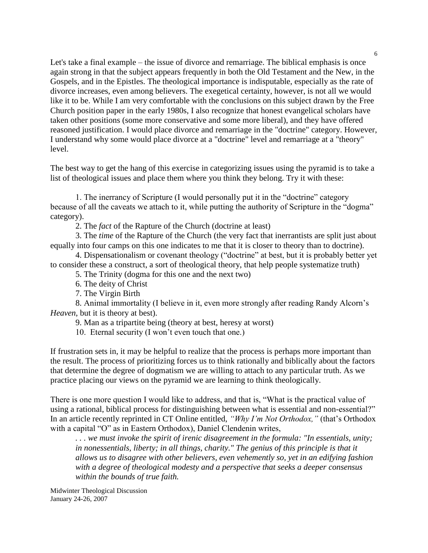Let's take a final example – the issue of divorce and remarriage. The biblical emphasis is once again strong in that the subject appears frequently in both the Old Testament and the New, in the Gospels, and in the Epistles. The theological importance is indisputable, especially as the rate of divorce increases, even among believers. The exegetical certainty, however, is not all we would like it to be. While I am very comfortable with the conclusions on this subject drawn by the Free Church position paper in the early 1980s, I also recognize that honest evangelical scholars have taken other positions (some more conservative and some more liberal), and they have offered reasoned justification. I would place divorce and remarriage in the "doctrine" category. However, I understand why some would place divorce at a "doctrine" level and remarriage at a "theory" level.

The best way to get the hang of this exercise in categorizing issues using the pyramid is to take a list of theological issues and place them where you think they belong. Try it with these:

1. The inerrancy of Scripture (I would personally put it in the "doctrine" category because of all the caveats we attach to it, while putting the authority of Scripture in the "dogma" category).

2. The *fact* of the Rapture of the Church (doctrine at least)

3. The *time* of the Rapture of the Church (the very fact that inerrantists are split just about equally into four camps on this one indicates to me that it is closer to theory than to doctrine).

4. Dispensationalism or covenant theology ("doctrine" at best, but it is probably better yet to consider these a construct, a sort of theological theory, that help people systematize truth)

5. The Trinity (dogma for this one and the next two)

6. The deity of Christ

7. The Virgin Birth

8. Animal immortality (I believe in it, even more strongly after reading Randy Alcorn's *Heaven*, but it is theory at best).

9. Man as a tripartite being (theory at best, heresy at worst)

10. Eternal security (I won't even touch that one.)

If frustration sets in, it may be helpful to realize that the process is perhaps more important than the result. The process of prioritizing forces us to think rationally and biblically about the factors that determine the degree of dogmatism we are willing to attach to any particular truth. As we practice placing our views on the pyramid we are learning to think theologically.

There is one more question I would like to address, and that is, "What is the practical value of using a rational, biblical process for distinguishing between what is essential and non-essential?" In an article recently reprinted in CT Online entitled, *"Why I'm Not Orthodox,"* (that's Orthodox with a capital "O" as in Eastern Orthodox), Daniel Clendenin writes,

*. . . we must invoke the spirit of irenic disagreement in the formula: "In essentials, unity;*  in nonessentials, liberty; in all things, charity." The genius of this principle is that it *allows us to disagree with other believers, even vehemently so, yet in an edifying fashion with a degree of theological modesty and a perspective that seeks a deeper consensus within the bounds of true faith.*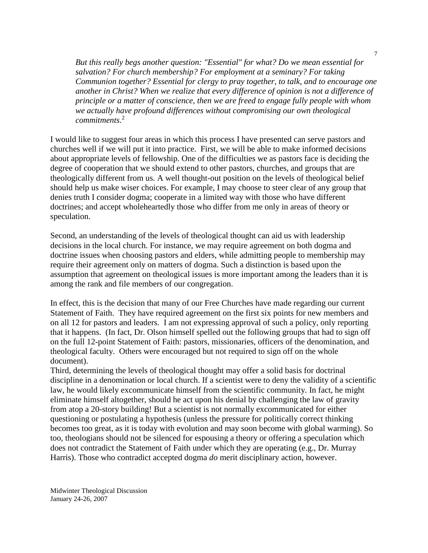*But this really begs another question: "Essential" for what? Do we mean essential for salvation? For church membership? For employment at a seminary? For taking Communion together? Essential for clergy to pray together, to talk, and to encourage one another in Christ? When we realize that every difference of opinion is not a difference of principle or a matter of conscience, then we are freed to engage fully people with whom we actually have profound differences without compromising our own theological commitments.*<sup>2</sup>

I would like to suggest four areas in which this process I have presented can serve pastors and churches well if we will put it into practice. First, we will be able to make informed decisions about appropriate levels of fellowship. One of the difficulties we as pastors face is deciding the degree of cooperation that we should extend to other pastors, churches, and groups that are theologically different from us. A well thought-out position on the levels of theological belief should help us make wiser choices. For example, I may choose to steer clear of any group that denies truth I consider dogma; cooperate in a limited way with those who have different doctrines; and accept wholeheartedly those who differ from me only in areas of theory or speculation.

Second, an understanding of the levels of theological thought can aid us with leadership decisions in the local church. For instance, we may require agreement on both dogma and doctrine issues when choosing pastors and elders, while admitting people to membership may require their agreement only on matters of dogma. Such a distinction is based upon the assumption that agreement on theological issues is more important among the leaders than it is among the rank and file members of our congregation.

In effect, this is the decision that many of our Free Churches have made regarding our current Statement of Faith. They have required agreement on the first six points for new members and on all 12 for pastors and leaders. I am not expressing approval of such a policy, only reporting that it happens. (In fact, Dr. Olson himself spelled out the following groups that had to sign off on the full 12-point Statement of Faith: pastors, missionaries, officers of the denomination, and theological faculty. Others were encouraged but not required to sign off on the whole document).

Third, determining the levels of theological thought may offer a solid basis for doctrinal discipline in a denomination or local church. If a scientist were to deny the validity of a scientific law, he would likely excommunicate himself from the scientific community. In fact, he might eliminate himself altogether, should he act upon his denial by challenging the law of gravity from atop a 20-story building! But a scientist is not normally excommunicated for either questioning or postulating a hypothesis (unless the pressure for politically correct thinking becomes too great, as it is today with evolution and may soon become with global warming). So too, theologians should not be silenced for espousing a theory or offering a speculation which does not contradict the Statement of Faith under which they are operating (e.g., Dr. Murray Harris). Those who contradict accepted dogma *do* merit disciplinary action, however.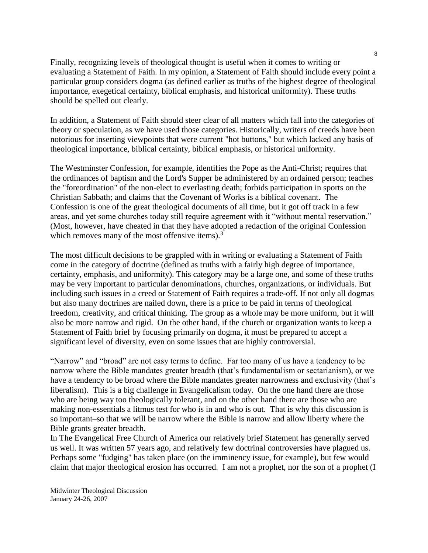Finally, recognizing levels of theological thought is useful when it comes to writing or evaluating a Statement of Faith. In my opinion, a Statement of Faith should include every point a particular group considers dogma (as defined earlier as truths of the highest degree of theological importance, exegetical certainty, biblical emphasis, and historical uniformity). These truths should be spelled out clearly.

In addition, a Statement of Faith should steer clear of all matters which fall into the categories of theory or speculation, as we have used those categories. Historically, writers of creeds have been notorious for inserting viewpoints that were current "hot buttons," but which lacked any basis of theological importance, biblical certainty, biblical emphasis, or historical uniformity.

The Westminster Confession, for example, identifies the Pope as the Anti-Christ; requires that the ordinances of baptism and the Lord's Supper be administered by an ordained person; teaches the "foreordination" of the non-elect to everlasting death; forbids participation in sports on the Christian Sabbath; and claims that the Covenant of Works is a biblical covenant. The Confession is one of the great theological documents of all time, but it got off track in a few areas, and yet some churches today still require agreement with it "without mental reservation." (Most, however, have cheated in that they have adopted a redaction of the original Confession which removes many of the most offensive items).<sup>3</sup>

The most difficult decisions to be grappled with in writing or evaluating a Statement of Faith come in the category of doctrine (defined as truths with a fairly high degree of importance, certainty, emphasis, and uniformity). This category may be a large one, and some of these truths may be very important to particular denominations, churches, organizations, or individuals. But including such issues in a creed or Statement of Faith requires a trade-off. If not only all dogmas but also many doctrines are nailed down, there is a price to be paid in terms of theological freedom, creativity, and critical thinking. The group as a whole may be more uniform, but it will also be more narrow and rigid. On the other hand, if the church or organization wants to keep a Statement of Faith brief by focusing primarily on dogma, it must be prepared to accept a significant level of diversity, even on some issues that are highly controversial.

"Narrow" and "broad" are not easy terms to define. Far too many of us have a tendency to be narrow where the Bible mandates greater breadth (that's fundamentalism or sectarianism), or we have a tendency to be broad where the Bible mandates greater narrowness and exclusivity (that's liberalism). This is a big challenge in Evangelicalism today. On the one hand there are those who are being way too theologically tolerant, and on the other hand there are those who are making non-essentials a litmus test for who is in and who is out. That is why this discussion is so important–so that we will be narrow where the Bible is narrow and allow liberty where the Bible grants greater breadth.

In The Evangelical Free Church of America our relatively brief Statement has generally served us well. It was written 57 years ago, and relatively few doctrinal controversies have plagued us. Perhaps some "fudging" has taken place (on the imminency issue, for example), but few would claim that major theological erosion has occurred. I am not a prophet, nor the son of a prophet (I